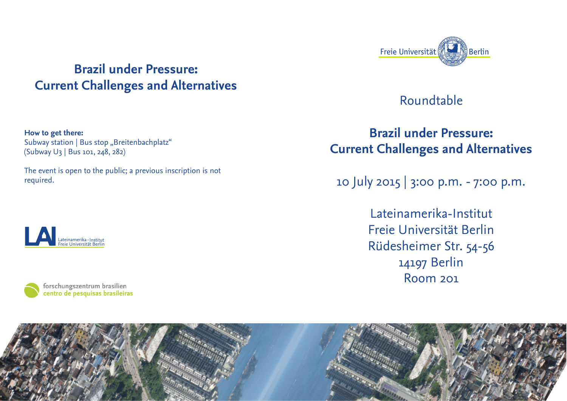

**How to get there:** Subway station | Bus stop "Breitenbachplatz" (Subway U3 | Bus 101, 248, 282)

The event is open to the public; a previous inscription is not required.







## Roundtable

## **Brazil under Pressure: Current Challenges and Alternatives**

10 July 2015 | 3:00 p.m. - 7:00 p.m.

Lateinamerika-Institut Freie Universität Berlin Rüdesheimer Str. 54-56 14197 Berlin Room 201